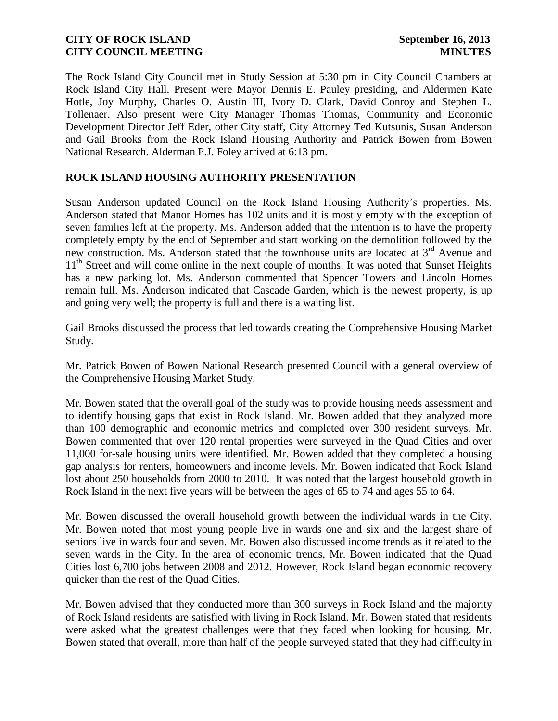The Rock Island City Council met in Study Session at 5:30 pm in City Council Chambers at Rock Island City Hall. Present were Mayor Dennis E. Pauley presiding, and Aldermen Kate Hotle, Joy Murphy, Charles O. Austin III, Ivory D. Clark, David Conroy and Stephen L. Tollenaer. Also present were City Manager Thomas Thomas, Community and Economic Development Director Jeff Eder, other City staff, City Attorney Ted Kutsunis, Susan Anderson and Gail Brooks from the Rock Island Housing Authority and Patrick Bowen from Bowen National Research. Alderman P.J. Foley arrived at 6:13 pm.

### **ROCK ISLAND HOUSING AUTHORITY PRESENTATION**

Susan Anderson updated Council on the Rock Island Housing Authority's properties. Ms. Anderson stated that Manor Homes has 102 units and it is mostly empty with the exception of seven families left at the property. Ms. Anderson added that the intention is to have the property completely empty by the end of September and start working on the demolition followed by the new construction. Ms. Anderson stated that the townhouse units are located at 3<sup>rd</sup> Avenue and 11<sup>th</sup> Street and will come online in the next couple of months. It was noted that Sunset Heights has a new parking lot. Ms. Anderson commented that Spencer Towers and Lincoln Homes remain full. Ms. Anderson indicated that Cascade Garden, which is the newest property, is up and going very well; the property is full and there is a waiting list.

Gail Brooks discussed the process that led towards creating the Comprehensive Housing Market Study.

Mr. Patrick Bowen of Bowen National Research presented Council with a general overview of the Comprehensive Housing Market Study.

Mr. Bowen stated that the overall goal of the study was to provide housing needs assessment and to identify housing gaps that exist in Rock Island. Mr. Bowen added that they analyzed more than 100 demographic and economic metrics and completed over 300 resident surveys. Mr. Bowen commented that over 120 rental properties were surveyed in the Quad Cities and over 11,000 for-sale housing units were identified. Mr. Bowen added that they completed a housing gap analysis for renters, homeowners and income levels. Mr. Bowen indicated that Rock Island lost about 250 households from 2000 to 2010. It was noted that the largest household growth in Rock Island in the next five years will be between the ages of 65 to 74 and ages 55 to 64.

Mr. Bowen discussed the overall household growth between the individual wards in the City. Mr. Bowen noted that most young people live in wards one and six and the largest share of seniors live in wards four and seven. Mr. Bowen also discussed income trends as it related to the seven wards in the City. In the area of economic trends, Mr. Bowen indicated that the Quad Cities lost 6,700 jobs between 2008 and 2012. However, Rock Island began economic recovery quicker than the rest of the Quad Cities.

Mr. Bowen advised that they conducted more than 300 surveys in Rock Island and the majority of Rock Island residents are satisfied with living in Rock Island. Mr. Bowen stated that residents were asked what the greatest challenges were that they faced when looking for housing. Mr. Bowen stated that overall, more than half of the people surveyed stated that they had difficulty in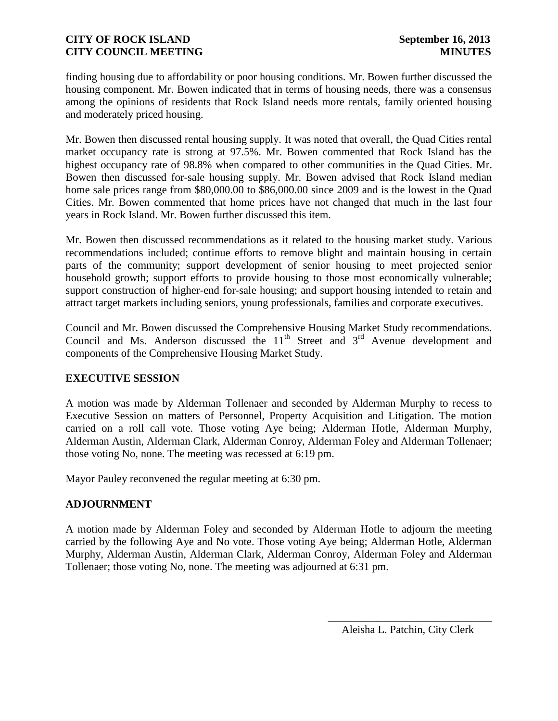finding housing due to affordability or poor housing conditions. Mr. Bowen further discussed the housing component. Mr. Bowen indicated that in terms of housing needs, there was a consensus among the opinions of residents that Rock Island needs more rentals, family oriented housing and moderately priced housing.

Mr. Bowen then discussed rental housing supply. It was noted that overall, the Quad Cities rental market occupancy rate is strong at 97.5%. Mr. Bowen commented that Rock Island has the highest occupancy rate of 98.8% when compared to other communities in the Quad Cities. Mr. Bowen then discussed for-sale housing supply. Mr. Bowen advised that Rock Island median home sale prices range from \$80,000.00 to \$86,000.00 since 2009 and is the lowest in the Quad Cities. Mr. Bowen commented that home prices have not changed that much in the last four years in Rock Island. Mr. Bowen further discussed this item.

Mr. Bowen then discussed recommendations as it related to the housing market study. Various recommendations included; continue efforts to remove blight and maintain housing in certain parts of the community; support development of senior housing to meet projected senior household growth; support efforts to provide housing to those most economically vulnerable; support construction of higher-end for-sale housing; and support housing intended to retain and attract target markets including seniors, young professionals, families and corporate executives.

Council and Mr. Bowen discussed the Comprehensive Housing Market Study recommendations. Council and Ms. Anderson discussed the  $11<sup>th</sup>$  Street and  $3<sup>rd</sup>$  Avenue development and components of the Comprehensive Housing Market Study.

# **EXECUTIVE SESSION**

A motion was made by Alderman Tollenaer and seconded by Alderman Murphy to recess to Executive Session on matters of Personnel, Property Acquisition and Litigation. The motion carried on a roll call vote. Those voting Aye being; Alderman Hotle, Alderman Murphy, Alderman Austin, Alderman Clark, Alderman Conroy, Alderman Foley and Alderman Tollenaer; those voting No, none. The meeting was recessed at 6:19 pm.

Mayor Pauley reconvened the regular meeting at 6:30 pm.

# **ADJOURNMENT**

A motion made by Alderman Foley and seconded by Alderman Hotle to adjourn the meeting carried by the following Aye and No vote. Those voting Aye being; Alderman Hotle, Alderman Murphy, Alderman Austin, Alderman Clark, Alderman Conroy, Alderman Foley and Alderman Tollenaer; those voting No, none. The meeting was adjourned at 6:31 pm.

\_\_\_\_\_\_\_\_\_\_\_\_\_\_\_\_\_\_\_\_\_\_\_\_\_\_\_\_\_\_ Aleisha L. Patchin, City Clerk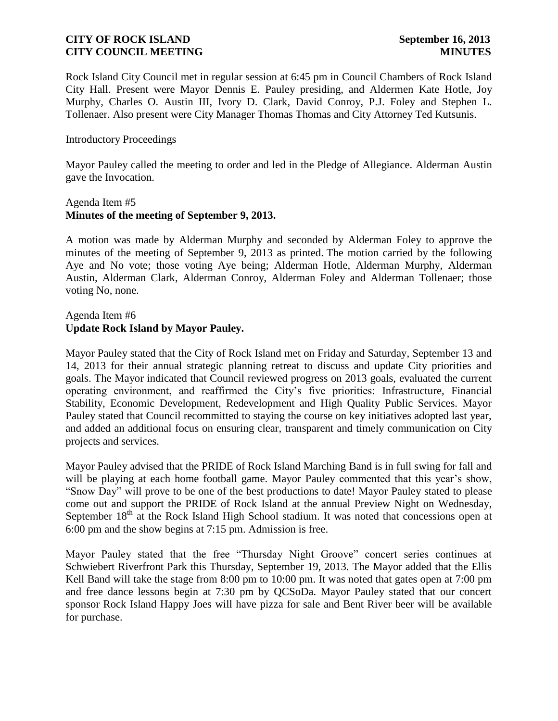Rock Island City Council met in regular session at 6:45 pm in Council Chambers of Rock Island City Hall. Present were Mayor Dennis E. Pauley presiding, and Aldermen Kate Hotle, Joy Murphy, Charles O. Austin III, Ivory D. Clark, David Conroy, P.J. Foley and Stephen L. Tollenaer. Also present were City Manager Thomas Thomas and City Attorney Ted Kutsunis.

### Introductory Proceedings

Mayor Pauley called the meeting to order and led in the Pledge of Allegiance. Alderman Austin gave the Invocation.

### Agenda Item #5 **Minutes of the meeting of September 9, 2013.**

A motion was made by Alderman Murphy and seconded by Alderman Foley to approve the minutes of the meeting of September 9, 2013 as printed. The motion carried by the following Aye and No vote; those voting Aye being; Alderman Hotle, Alderman Murphy, Alderman Austin, Alderman Clark, Alderman Conroy, Alderman Foley and Alderman Tollenaer; those voting No, none.

### Agenda Item #6 **Update Rock Island by Mayor Pauley.**

Mayor Pauley stated that the City of Rock Island met on Friday and Saturday, September 13 and 14, 2013 for their annual strategic planning retreat to discuss and update City priorities and goals. The Mayor indicated that Council reviewed progress on 2013 goals, evaluated the current operating environment, and reaffirmed the City's five priorities: Infrastructure, Financial Stability, Economic Development, Redevelopment and High Quality Public Services. Mayor Pauley stated that Council recommitted to staying the course on key initiatives adopted last year, and added an additional focus on ensuring clear, transparent and timely communication on City projects and services.

Mayor Pauley advised that the PRIDE of Rock Island Marching Band is in full swing for fall and will be playing at each home football game. Mayor Pauley commented that this year's show, "Snow Day" will prove to be one of the best productions to date! Mayor Pauley stated to please come out and support the PRIDE of Rock Island at the annual Preview Night on Wednesday, September  $18<sup>th</sup>$  at the Rock Island High School stadium. It was noted that concessions open at 6:00 pm and the show begins at 7:15 pm. Admission is free.

Mayor Pauley stated that the free "Thursday Night Groove" concert series continues at Schwiebert Riverfront Park this Thursday, September 19, 2013. The Mayor added that the Ellis Kell Band will take the stage from 8:00 pm to 10:00 pm. It was noted that gates open at 7:00 pm and free dance lessons begin at 7:30 pm by QCSoDa. Mayor Pauley stated that our concert sponsor Rock Island Happy Joes will have pizza for sale and Bent River beer will be available for purchase.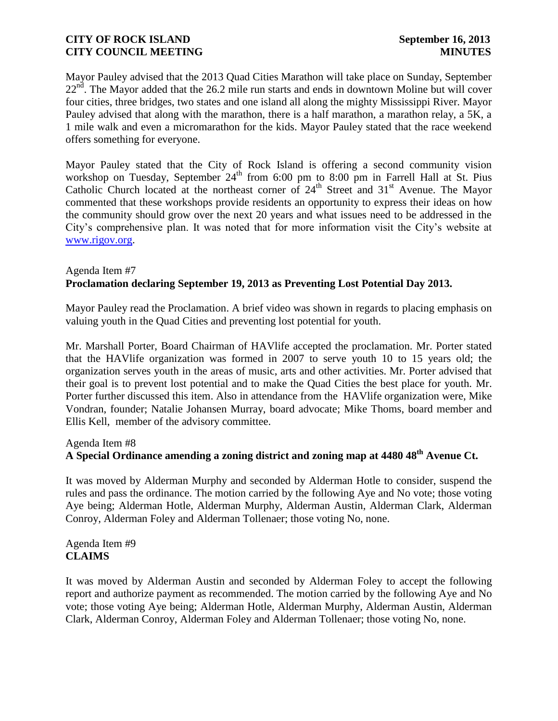Mayor Pauley advised that the 2013 Quad Cities Marathon will take place on Sunday, September  $22<sup>nd</sup>$ . The Mayor added that the 26.2 mile run starts and ends in downtown Moline but will cover four cities, three bridges, two states and one island all along the mighty Mississippi River. Mayor Pauley advised that along with the marathon, there is a half marathon, a marathon relay, a 5K, a 1 mile walk and even a micromarathon for the kids. Mayor Pauley stated that the race weekend offers something for everyone.

Mayor Pauley stated that the City of Rock Island is offering a second community vision workshop on Tuesday, September  $24<sup>th</sup>$  from 6:00 pm to 8:00 pm in Farrell Hall at St. Pius Catholic Church located at the northeast corner of  $24<sup>th</sup>$  Street and  $31<sup>st</sup>$  Avenue. The Mayor commented that these workshops provide residents an opportunity to express their ideas on how the community should grow over the next 20 years and what issues need to be addressed in the City's comprehensive plan. It was noted that for more information visit the City's website at [www.rigov.org.](http://www.rigov.org/)

### Agenda Item #7 **Proclamation declaring September 19, 2013 as Preventing Lost Potential Day 2013.**

Mayor Pauley read the Proclamation. A brief video was shown in regards to placing emphasis on valuing youth in the Quad Cities and preventing lost potential for youth.

Mr. Marshall Porter, Board Chairman of HAVlife accepted the proclamation. Mr. Porter stated that the HAVlife organization was formed in 2007 to serve youth 10 to 15 years old; the organization serves youth in the areas of music, arts and other activities. Mr. Porter advised that their goal is to prevent lost potential and to make the Quad Cities the best place for youth. Mr. Porter further discussed this item. Also in attendance from the HAVlife organization were, Mike Vondran, founder; Natalie Johansen Murray, board advocate; Mike Thoms, board member and Ellis Kell, member of the advisory committee.

### Agenda Item #8

# **A Special Ordinance amending a zoning district and zoning map at 4480 48th Avenue Ct.**

It was moved by Alderman Murphy and seconded by Alderman Hotle to consider, suspend the rules and pass the ordinance. The motion carried by the following Aye and No vote; those voting Aye being; Alderman Hotle, Alderman Murphy, Alderman Austin, Alderman Clark, Alderman Conroy, Alderman Foley and Alderman Tollenaer; those voting No, none.

Agenda Item #9 **CLAIMS**

It was moved by Alderman Austin and seconded by Alderman Foley to accept the following report and authorize payment as recommended. The motion carried by the following Aye and No vote; those voting Aye being; Alderman Hotle, Alderman Murphy, Alderman Austin, Alderman Clark, Alderman Conroy, Alderman Foley and Alderman Tollenaer; those voting No, none.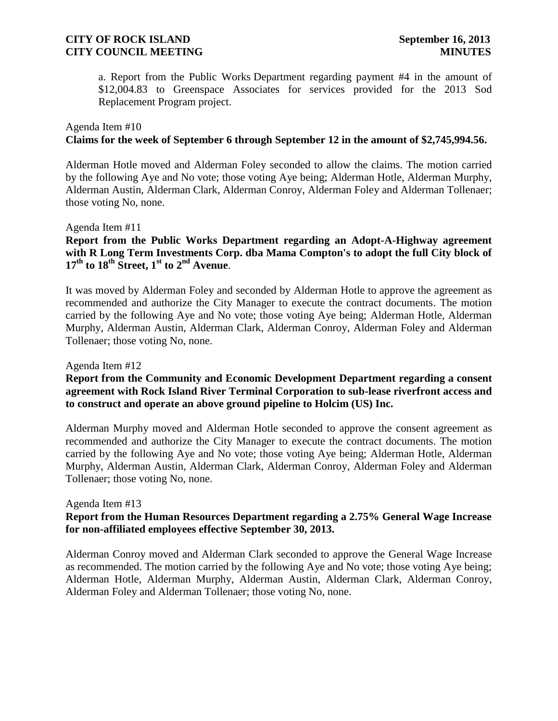a. Report from the Public Works Department regarding payment #4 in the amount of \$12,004.83 to Greenspace Associates for services provided for the 2013 Sod Replacement Program project.

### Agenda Item #10

### **Claims for the week of September 6 through September 12 in the amount of \$2,745,994.56.**

Alderman Hotle moved and Alderman Foley seconded to allow the claims. The motion carried by the following Aye and No vote; those voting Aye being; Alderman Hotle, Alderman Murphy, Alderman Austin, Alderman Clark, Alderman Conroy, Alderman Foley and Alderman Tollenaer; those voting No, none.

#### Agenda Item #11

### **Report from the Public Works Department regarding an Adopt-A-Highway agreement with R Long Term Investments Corp. dba Mama Compton's to adopt the full City block of**   $17<sup>th</sup>$  **to 18<sup>th</sup> Street, 1<sup>st</sup> to 2<sup>nd</sup> Avenue**.

It was moved by Alderman Foley and seconded by Alderman Hotle to approve the agreement as recommended and authorize the City Manager to execute the contract documents. The motion carried by the following Aye and No vote; those voting Aye being; Alderman Hotle, Alderman Murphy, Alderman Austin, Alderman Clark, Alderman Conroy, Alderman Foley and Alderman Tollenaer; those voting No, none.

#### Agenda Item #12

### **Report from the Community and Economic Development Department regarding a consent agreement with Rock Island River Terminal Corporation to sub-lease riverfront access and to construct and operate an above ground pipeline to Holcim (US) Inc.**

Alderman Murphy moved and Alderman Hotle seconded to approve the consent agreement as recommended and authorize the City Manager to execute the contract documents. The motion carried by the following Aye and No vote; those voting Aye being; Alderman Hotle, Alderman Murphy, Alderman Austin, Alderman Clark, Alderman Conroy, Alderman Foley and Alderman Tollenaer; those voting No, none.

#### Agenda Item #13

### **Report from the Human Resources Department regarding a 2.75% General Wage Increase for non-affiliated employees effective September 30, 2013.**

Alderman Conroy moved and Alderman Clark seconded to approve the General Wage Increase as recommended. The motion carried by the following Aye and No vote; those voting Aye being; Alderman Hotle, Alderman Murphy, Alderman Austin, Alderman Clark, Alderman Conroy, Alderman Foley and Alderman Tollenaer; those voting No, none.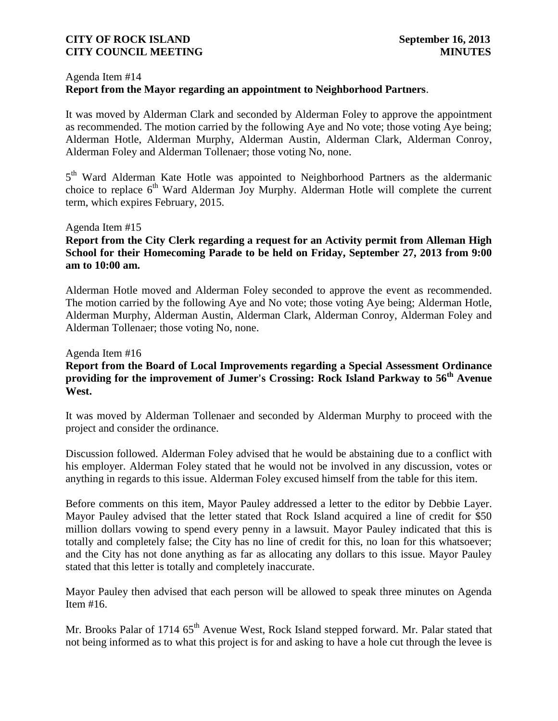#### Agenda Item #14

# **Report from the Mayor regarding an appointment to Neighborhood Partners**.

It was moved by Alderman Clark and seconded by Alderman Foley to approve the appointment as recommended. The motion carried by the following Aye and No vote; those voting Aye being; Alderman Hotle, Alderman Murphy, Alderman Austin, Alderman Clark, Alderman Conroy, Alderman Foley and Alderman Tollenaer; those voting No, none.

5<sup>th</sup> Ward Alderman Kate Hotle was appointed to Neighborhood Partners as the aldermanic choice to replace  $6<sup>th</sup>$  Ward Alderman Joy Murphy. Alderman Hotle will complete the current term, which expires February, 2015.

#### Agenda Item #15

### **Report from the City Clerk regarding a request for an Activity permit from Alleman High School for their Homecoming Parade to be held on Friday, September 27, 2013 from 9:00 am to 10:00 am.**

Alderman Hotle moved and Alderman Foley seconded to approve the event as recommended. The motion carried by the following Aye and No vote; those voting Aye being; Alderman Hotle, Alderman Murphy, Alderman Austin, Alderman Clark, Alderman Conroy, Alderman Foley and Alderman Tollenaer; those voting No, none.

#### Agenda Item #16

### **Report from the Board of Local Improvements regarding a Special Assessment Ordinance providing for the improvement of Jumer's Crossing: Rock Island Parkway to 56th Avenue West.**

It was moved by Alderman Tollenaer and seconded by Alderman Murphy to proceed with the project and consider the ordinance.

Discussion followed. Alderman Foley advised that he would be abstaining due to a conflict with his employer. Alderman Foley stated that he would not be involved in any discussion, votes or anything in regards to this issue. Alderman Foley excused himself from the table for this item.

Before comments on this item, Mayor Pauley addressed a letter to the editor by Debbie Layer. Mayor Pauley advised that the letter stated that Rock Island acquired a line of credit for \$50 million dollars vowing to spend every penny in a lawsuit. Mayor Pauley indicated that this is totally and completely false; the City has no line of credit for this, no loan for this whatsoever; and the City has not done anything as far as allocating any dollars to this issue. Mayor Pauley stated that this letter is totally and completely inaccurate.

Mayor Pauley then advised that each person will be allowed to speak three minutes on Agenda Item #16.

Mr. Brooks Palar of 1714 65<sup>th</sup> Avenue West, Rock Island stepped forward. Mr. Palar stated that not being informed as to what this project is for and asking to have a hole cut through the levee is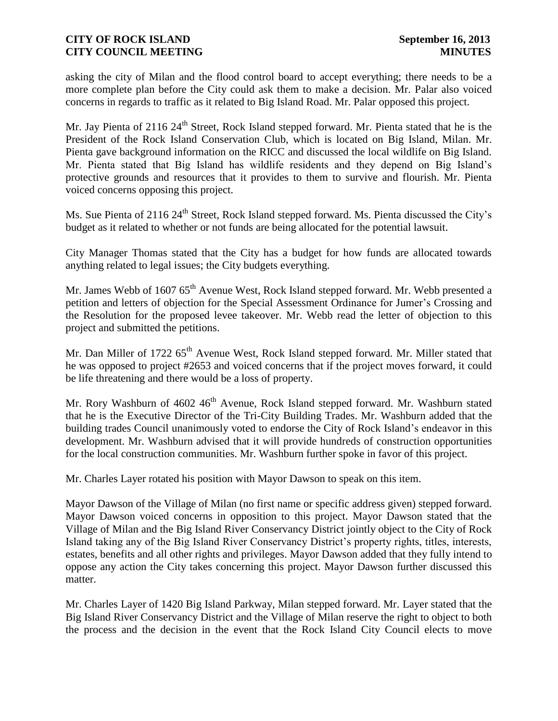asking the city of Milan and the flood control board to accept everything; there needs to be a more complete plan before the City could ask them to make a decision. Mr. Palar also voiced concerns in regards to traffic as it related to Big Island Road. Mr. Palar opposed this project.

Mr. Jay Pienta of 2116 24<sup>th</sup> Street, Rock Island stepped forward. Mr. Pienta stated that he is the President of the Rock Island Conservation Club, which is located on Big Island, Milan. Mr. Pienta gave background information on the RICC and discussed the local wildlife on Big Island. Mr. Pienta stated that Big Island has wildlife residents and they depend on Big Island's protective grounds and resources that it provides to them to survive and flourish. Mr. Pienta voiced concerns opposing this project.

Ms. Sue Pienta of 2116 24<sup>th</sup> Street, Rock Island stepped forward. Ms. Pienta discussed the City's budget as it related to whether or not funds are being allocated for the potential lawsuit.

City Manager Thomas stated that the City has a budget for how funds are allocated towards anything related to legal issues; the City budgets everything.

Mr. James Webb of 1607 65<sup>th</sup> Avenue West, Rock Island stepped forward. Mr. Webb presented a petition and letters of objection for the Special Assessment Ordinance for Jumer's Crossing and the Resolution for the proposed levee takeover. Mr. Webb read the letter of objection to this project and submitted the petitions.

Mr. Dan Miller of 1722 65<sup>th</sup> Avenue West, Rock Island stepped forward. Mr. Miller stated that he was opposed to project #2653 and voiced concerns that if the project moves forward, it could be life threatening and there would be a loss of property.

Mr. Rory Washburn of 4602 46<sup>th</sup> Avenue, Rock Island stepped forward. Mr. Washburn stated that he is the Executive Director of the Tri-City Building Trades. Mr. Washburn added that the building trades Council unanimously voted to endorse the City of Rock Island's endeavor in this development. Mr. Washburn advised that it will provide hundreds of construction opportunities for the local construction communities. Mr. Washburn further spoke in favor of this project.

Mr. Charles Layer rotated his position with Mayor Dawson to speak on this item.

Mayor Dawson of the Village of Milan (no first name or specific address given) stepped forward. Mayor Dawson voiced concerns in opposition to this project. Mayor Dawson stated that the Village of Milan and the Big Island River Conservancy District jointly object to the City of Rock Island taking any of the Big Island River Conservancy District's property rights, titles, interests, estates, benefits and all other rights and privileges. Mayor Dawson added that they fully intend to oppose any action the City takes concerning this project. Mayor Dawson further discussed this matter.

Mr. Charles Layer of 1420 Big Island Parkway, Milan stepped forward. Mr. Layer stated that the Big Island River Conservancy District and the Village of Milan reserve the right to object to both the process and the decision in the event that the Rock Island City Council elects to move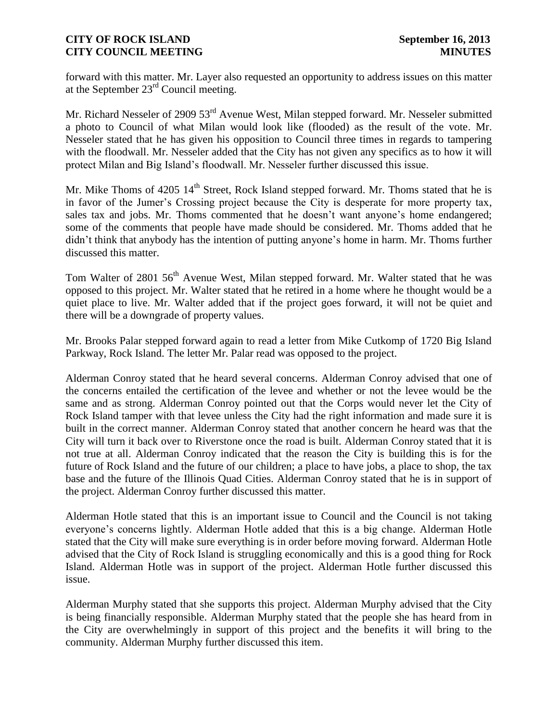forward with this matter. Mr. Layer also requested an opportunity to address issues on this matter at the September 23rd Council meeting.

Mr. Richard Nesseler of 2909 53<sup>rd</sup> Avenue West, Milan stepped forward. Mr. Nesseler submitted a photo to Council of what Milan would look like (flooded) as the result of the vote. Mr. Nesseler stated that he has given his opposition to Council three times in regards to tampering with the floodwall. Mr. Nesseler added that the City has not given any specifics as to how it will protect Milan and Big Island's floodwall. Mr. Nesseler further discussed this issue.

Mr. Mike Thoms of  $4205 \, 14^{\text{th}}$  Street, Rock Island stepped forward. Mr. Thoms stated that he is in favor of the Jumer's Crossing project because the City is desperate for more property tax, sales tax and jobs. Mr. Thoms commented that he doesn't want anyone's home endangered; some of the comments that people have made should be considered. Mr. Thoms added that he didn't think that anybody has the intention of putting anyone's home in harm. Mr. Thoms further discussed this matter.

Tom Walter of 2801 56<sup>th</sup> Avenue West, Milan stepped forward. Mr. Walter stated that he was opposed to this project. Mr. Walter stated that he retired in a home where he thought would be a quiet place to live. Mr. Walter added that if the project goes forward, it will not be quiet and there will be a downgrade of property values.

Mr. Brooks Palar stepped forward again to read a letter from Mike Cutkomp of 1720 Big Island Parkway, Rock Island. The letter Mr. Palar read was opposed to the project.

Alderman Conroy stated that he heard several concerns. Alderman Conroy advised that one of the concerns entailed the certification of the levee and whether or not the levee would be the same and as strong. Alderman Conroy pointed out that the Corps would never let the City of Rock Island tamper with that levee unless the City had the right information and made sure it is built in the correct manner. Alderman Conroy stated that another concern he heard was that the City will turn it back over to Riverstone once the road is built. Alderman Conroy stated that it is not true at all. Alderman Conroy indicated that the reason the City is building this is for the future of Rock Island and the future of our children; a place to have jobs, a place to shop, the tax base and the future of the Illinois Quad Cities. Alderman Conroy stated that he is in support of the project. Alderman Conroy further discussed this matter.

Alderman Hotle stated that this is an important issue to Council and the Council is not taking everyone's concerns lightly. Alderman Hotle added that this is a big change. Alderman Hotle stated that the City will make sure everything is in order before moving forward. Alderman Hotle advised that the City of Rock Island is struggling economically and this is a good thing for Rock Island. Alderman Hotle was in support of the project. Alderman Hotle further discussed this issue.

Alderman Murphy stated that she supports this project. Alderman Murphy advised that the City is being financially responsible. Alderman Murphy stated that the people she has heard from in the City are overwhelmingly in support of this project and the benefits it will bring to the community. Alderman Murphy further discussed this item.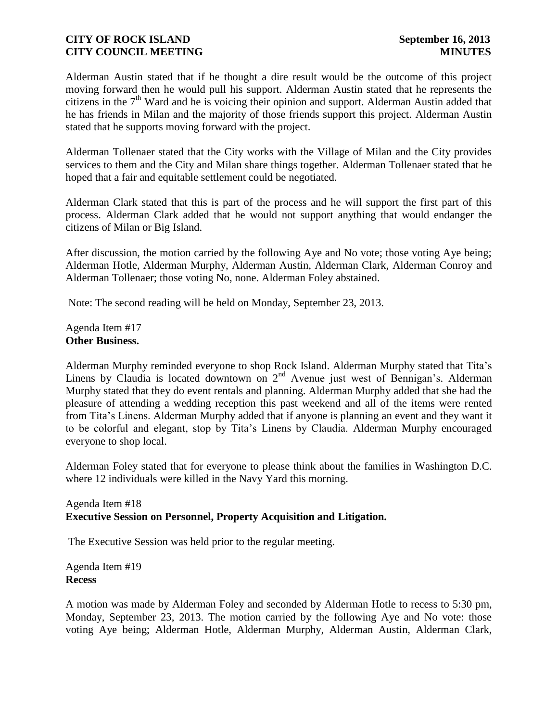Alderman Austin stated that if he thought a dire result would be the outcome of this project moving forward then he would pull his support. Alderman Austin stated that he represents the citizens in the  $7<sup>th</sup>$  Ward and he is voicing their opinion and support. Alderman Austin added that he has friends in Milan and the majority of those friends support this project. Alderman Austin stated that he supports moving forward with the project.

Alderman Tollenaer stated that the City works with the Village of Milan and the City provides services to them and the City and Milan share things together. Alderman Tollenaer stated that he hoped that a fair and equitable settlement could be negotiated.

Alderman Clark stated that this is part of the process and he will support the first part of this process. Alderman Clark added that he would not support anything that would endanger the citizens of Milan or Big Island.

After discussion, the motion carried by the following Aye and No vote; those voting Aye being; Alderman Hotle, Alderman Murphy, Alderman Austin, Alderman Clark, Alderman Conroy and Alderman Tollenaer; those voting No, none. Alderman Foley abstained.

Note: The second reading will be held on Monday, September 23, 2013.

Agenda Item #17 **Other Business.**

Alderman Murphy reminded everyone to shop Rock Island. Alderman Murphy stated that Tita's Linens by Claudia is located downtown on  $2<sup>nd</sup>$  Avenue just west of Bennigan's. Alderman Murphy stated that they do event rentals and planning. Alderman Murphy added that she had the pleasure of attending a wedding reception this past weekend and all of the items were rented from Tita's Linens. Alderman Murphy added that if anyone is planning an event and they want it to be colorful and elegant, stop by Tita's Linens by Claudia. Alderman Murphy encouraged everyone to shop local.

Alderman Foley stated that for everyone to please think about the families in Washington D.C. where 12 individuals were killed in the Navy Yard this morning.

### Agenda Item #18 **Executive Session on Personnel, Property Acquisition and Litigation.**

The Executive Session was held prior to the regular meeting.

Agenda Item #19 **Recess**

A motion was made by Alderman Foley and seconded by Alderman Hotle to recess to 5:30 pm, Monday, September 23, 2013. The motion carried by the following Aye and No vote: those voting Aye being; Alderman Hotle, Alderman Murphy, Alderman Austin, Alderman Clark,